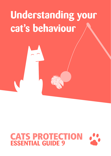# **Understanding your cat's behaviour**

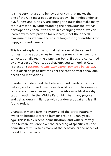It is the very nature and behaviour of cats that makes them one of the UK's most popular pets today. Their independence, playfulness and curiosity are among the traits that make many cat-lovers melt. By understanding the behaviour the cat has developed to enable it to thrive in a changing world, we can learn how to best provide for our cats, meet their needs, maximise their welfare and ensure long-lasting friendships for happy cats and owners.

This leaflet explains the normal behaviour of the cat and suggests some approaches to manage some of the issues that can occasionally test the owner-cat bond. If you are concerned by any aspect of your cat's behaviour, you can look at Cats Protection's *Essential Guide: Managing your cat's behaviour*, but it often helps to first consider the cat's normal behaviour, needs and motivations.

In order to understand the behaviour and needs of today's pet cat, we first need to explore its wild origins. The domestic cat shares common ancestry with the African wildcat – a shy cat originating in the Middle East which has many physical and behavioural similarities with our domestic cat and is still found today.

Changes in man's farming systems led the cat to naturally evolve to become closer to humans around 10,000 years ago. This is fairly recent 'domestication' and with relatively little human influence over the breeding of specific cats, the domestic cat still retains many of the behaviours and needs of its wild counterparts.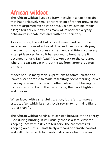### **African wildcat**

The African wildcat lives a solitary lifestyle in a harsh terrain that has a relatively small concentration of rodent prey, so the cats are dispersed over a wide area. Each wildcat maintains a large territory but exhibits many of its normal everyday behaviours in a safe core area within this territory.

As a carnivore, the wildcat only eats meat and cannot be vegetarian. It is most active at dusk and dawn when its prey is active. Hunting episodes are frequent and tiring. Not every attempt is successful, so it has evolved to hunt before it becomes hungry. Each 'catch' is taken back to the core area where the cat can eat without threat from larger predators or rivals.

It does not use many facial expressions to communicate and leaves a scent profile to mark its territory. Scent marking serves as a way to communicate with other cats without having to come into contact with them – reducing the risk of fighting and injuries.

When faced with a stressful situation, it prefers to make an escape, after which its stress levels return to normal ie flight rather than fight.

The African wildcat needs a lot of sleep because of the energy used during hunting. It will usually choose a safe, elevated sleeping spot within its core territory. The cat rotates its sleeping area – this is most likely a means of parasite control – and will often scratch to maintain its claws when it wakes up.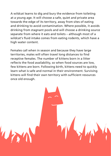A wildcat learns to dig and bury the evidence from toileting at a young age. It will choose a safe, quiet and private area towards the edge of its territory, away from sites of eating and drinking to avoid contamination. Where possible, it avoids drinking from stagnant pools and will choose a drinking source separate from where it eats and toilets – although most of a wildcat's fluid intake comes from eating rodents, which have a high water content.

Females call when in season and because they have large territories, males will often travel long distances to find receptive females. The number of kittens born in a litter reflects the food availability, so when food sources are low, few kittens are born. Following birth, kittens need to quickly learn what is safe and normal in their environment. Surviving kittens will find their own territory with sufficient resources once old enough.

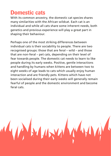#### **Domestic cats**

With its common ancestry, the domestic cat species shares many similarities with the African wildcat. Each cat is an individual and while all cats share some inherent needs, both genetics and previous experience will play a great part in shaping their behaviour.

Perhaps one of the most striking differences between individual cats is their sociability to people. There are two recognised groups: those that are feral – wild – and those that are non-feral – pet cats, depending on their level of fear towards people. The domestic cat needs to learn to like people during its early weeks. Positive, gentle interactions and handling by humans when kittens are between two to eight weeks of age leads to cats which usually enjoy human interaction and are friendly pets. Kittens which have not been socialised during their early weeks will generally remain fearful of people and the domestic environment and become feral cats.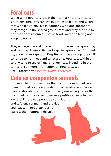## **Feral cats**

While some feral cats retain their solitary nature, in certain situations, feral cats can live in groups called colonies. Feral cats within a colony live in harmony with one another if they recognise the shared group scent and they are able to find sufficient resources such as food, water, toileting and sleeping areas.

They engage in social interactions such as mutual grooming and rubbing. These activities keep the 'group scent' topped up, allowing recognition. Despite living as a group, they will continue to hunt, eat and toilet alone. Feral cats within a colony tend to see off any 'stranger' cats intruding in the territory. For more information on feral cats, see Cats Protection's *Essential Guide: Feral cats*.

#### **Cats as companion animals**

It is important to remember that a cat's requirements are not human-based, so understanding their needs can enhance our own relationship with them. It is very rewarding to see things from their point of view to make a positive change in their welfare. Ensure you provide a stimulating and safe environment and provide your cat with opportunities to express their natural behaviour.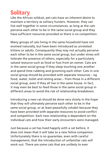### **Solitary**

Like the African wildcat, pet cats have an inherent desire to maintain a territory as solitary hunters. However, they can live well together in some circumstances, as long as the cats perceive each other to be in the same social group and they have sufficient resources provided so there is no competition.

Many groups of cats living in the same household have not evolved naturally, but have been introduced as unrelated kittens or adults. Consequently they may not actually perceive each other to be in the same social group, but under stress will tolerate the presence of others, especially for a particularly valued resource such as food or fuss from an owner. Cats are in the same social group if they sleep touching one another and spend time rubbing and grooming each other. Cats in one social group should be provided with separate resources – eg food, water, toilet and resting areas – from those in a different social group, even if they all live in the same house. In fact, it may even be best to feed those in the same social group in different areas to avoid the risk of relationship breakdown.

Introducing a new cat should be done very slowly in the hope that they will ultimately perceive each other to be in the same social group, or at least peacefully cohabit because they have been provided with separate resources to avoid conflict and competition. Each new relationship is dependent on the individual cats and how their early encounters were managed.

Just because a cat has lived happily with a cat before, it does not mean that it will take to a new feline companion. Unfortunately there is no guarantee, even with careful management, that the introduction of unfamiliar cats will work out. There are some cats that are unlikely to ever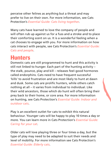perceive other felines as anything but a threat and may prefer to live on their own. For more information, see Cats Protection's *Essential Guide: Cats living together*.

Many cats have learned to love the company of people and will often rub up against us for a fuss and a stroke and to place their comforting scent on us. It is a wonderful feeling when a cat chooses to engage with you. For more information on how cats interact with people, see Cats Protection's *Essential Guide: Cats and people*.

#### **Hunters**

Domestic cats are still programmed to hunt and this activity is still not linked to hunger. Each part of the hunting activity – the stalk, pounce, play and kill – releases feel-good hormones called endorphins. Cats need to have frequent successful 'kills' to avoid frustration and are most likely to hunt at dawn and dusk. Some cats are prolific hunters, while others catch nothing at all – it varies from individual to individual. Like their wild ancestors, those which do hunt will often bring their prey back to their home, or core area. For more information on hunting, see Cats Protection's *Essential Guide: Indoor and outdoor cats*.

Play is an excellent outlet for cats to exhibit this natural behaviour. Younger cats will be happy to play 10 times a day or more. You can learn more in Cats Protection's *Essential Guide: Caring for your cat*.

Older cats will love playing three or four times a day, but the type of play may need to be adapted to suit their needs and level of mobility. For more information see Cats Protection's *Essential Guide: Elderly cats*.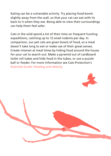Eating can be a vulnerable activity. Try placing food bowls slightly away from the wall, so that your cat can eat with its back to it when they eat. Being able to view their surroundings can help them feel safer.

Cats in the wild spend a lot of their time on frequent hunting expeditions, catching up to 12 small rodents per day. In comparison, our pet cats are given bowls of food, so a meal doesn't take long to eat or make use of their great senses. Create interest at meal times by hiding food around the house for your cat to search out. Make a pyramid out of cardboard toilet roll tubes and hide food in the tubes, or use a puzzle ball or feeder. For more information see Cats Protection's *Essential Guide: Feeding and obesity*.

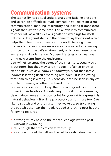#### **Communication systems**

The cat has limited visual social signals and facial expressions and so can be difficult to 'read.' Instead, it still relies on scent communication, marking its territory and leaving distant scent signals that last for some time. This allows it to communicate to other cats as well as leave signals and warnings for itself. Cats will rub against items in the home to lay their scent which helps them feel safe and secure. It is worth bearing in mind that modern cleaning means we may be constantly removing this scent from the cat's environment, which can cause some anxiety and disorientation. Modern lifestyles also mean we bring new scents into the environment.

Cats will often spray the edges of their territory. Usually this is outdoors, but they may spray indoors – often at entry or exit points, such as windows or doorways. A cat that sprays indoors is leaving itself a warning reminder – it is indicating that something is wrong. This behaviour can be seen in any cat – male or female, whether neutered or not.

Domestic cats scratch to keep their claws in good condition and to mark their territory. A scratching post will provide exercise, claw maintenance and a focal point for your cat to express this natural behaviour – it will help protect your furniture too. Cats like to stretch and scratch after they wake up, so try placing the scratch post near their bed. A good scratching post has the following features:

- **•** a strong sturdy base so the cat can lean against the post without it wobbling
- **•** tall enough that the cat can stretch fully
- **•** a vertical thread that allows the cat to scratch downwards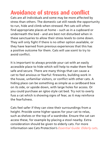#### **Avoidance of stress and conflict**

Cats are all individuals and some may be more affected by stress than others. The domestic cat still needs the opportunity to run, hide and climb when stressed. Pet cats will often find appropriate places at home – such as in a cupboard or underneath the bed – and are best not disturbed when in these sanctuaries to allow their stress levels to come down. They will only fight if there is no other option available, or they have learned from previous experiences that this has a positive outcome for them. Cats will use scent to try to avoid conflict.

It is important to always provide your cat with an easily accessible place to hide which will help to make them feel safe and secure. There are many things that can cause a cat to feel anxious or fearful: fireworks, building work in the house, unfamiliar visitors, or conflict with other cats. A hiding place can be something as simple as a cardboard box on its side, or upside down, with large holes for access. Or you could purchase an igloo style cat bed. Try not to overly fuss a cat which is showing signs of fear, as it may reinforce the fearfulness.

Cats feel safer if they can view their surroundings from a height. Provide some higher spaces for your cat to relax, such as shelves or the top of a wardrobe. Ensure the cat can access these, for example by placing a stool nearby. Extra consideration should be given to elderly cats. For more information see Cats Protection's *Essential Guide: Elderly cats*.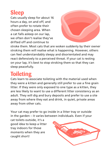### **Sleep**

Cats usually sleep for about 16 hours a day, on and off, and often prefer to rotate their chosen sleeping area. When a cat falls asleep on our lap, we often don't realise they've drifted off and continue to



stroke them. Most cats that are woken suddenly by their owner stroking them will realise what is happening. However, others can feel understandably sleepy and disorientated and may react defensively to a perceived threat. If your cat is resting on your lap, it's best to stop stroking them so that they can sleep peacefully.

# **Toileting**

Cats learn to associate toileting with the material used when they were a kitten and generally still prefer to use a fine grain litter. If they were only exposed to one type as a kitten, they are less likely to want to use a different litter consistency as an adult. They will dig and bury deposits and prefer to use a site away from where they eat and drink, in quiet, private areas away from other cats.

Your cat may prefer to go inside in a litter tray or outside in the garden – it varies between individuals. Even if your

cat toilets outside, it's a good idea to keep a litter tray indoors for those moments when they are caught short!

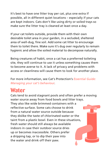It's best to have one litter tray per cat, plus one extra if possible, all in different quiet locations – especially if your cats are kept indoors. Cats don't like using dirty or soiled trays so make sure the litter tray is cleaned at least once a day.

If your cat toilets outside, provide them with their own desirable toilet area in your garden, in a secluded, sheltered area of well-dug, fine soil. Add some cat litter to encourage them to toilet there. Make sure it's dug over regularly to remain hygienic and allow the soiled material to decompose naturally.

Being creatures of habit, once a cat has a preferred toileting site, they will continue to use it unless something causes them to become averse to it. A lack of privacy and problems with access or cleanliness will cause them to look for another place.

For more information, see Cat's Protection's *Essential Guide: Managing your cat's behaviour*.

#### **Water**

Cats tend to avoid stagnant pools and often prefer a moving water source away from food bowls and litter trays. They also like wide brimmed containers with a reflective surface. Some cats choose to drink from a natural water source outside because they dislike the taste of chlorinated water or the taint from a plastic bowl. Even in these situations, fresh water should still always be available indoors in case their outdoor source dries up or becomes inaccessible. Others prefer a dripping tap, or to dip their paw into the water and drink off their paw.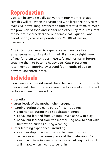### **Reproduction**

Cats can become sexually active from four months of age. Females will call when in season and with large territory sizes, males will travel long distances to find receptive females. With the provision of food and shelter and other key resources, cats can be prolific breeders and one female cat – queen – and her offspring can be responsible for 20,000 kittens in just five years.

Any kittens born need to experience as many positive experiences as possible during their first two to eight weeks of age for them to consider these safe and normal in future, enabling them to become happy pets. Cats Protection recommends neutering by around four months of age to prevent unwanted litters.

# **Individuals**

Individual cats have different characters and this contributes to their appeal. Their differences are due to a variety of different factors and are influenced by:

- **•** genetics
- **•** stress levels of the mother when pregnant
- **•** learning during the early part of life, including:
	- experiences during their socialisation period
	- behaviour learned from siblings such as how to play
	- behaviour learned from the mother eg how to deal with frustration, such as during weaning
- **•** later learning experiences, including:
	- a cat developing an association between its own behaviour and the consequence of that behaviour. For example, miaowing leads to my owner letting me in, so I will miaow when I want to be let in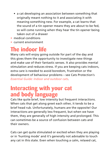- a cat developing an association between something that originally meant nothing to it and associating it with meaning something new. For example, a cat learns that the sound of a tin opener means they are about to be fed, so will come running when they hear the tin opener being taken out of a drawer
- **•** medical conditions
- **•** current environment

## **The indoor life**

Many cats will enjoy going outside for part of the day and this gives them the opportunity to investigate new things and make use of their fantastic senses. It also provides mental stimulation and reduces stress. If you are keeping cats indoors, extra care is needed to avoid boredom, frustration or the development of behaviour problems – see Cats Protection's *Essential Guide: Indoor and outdoor cats*.

#### **Interacting with your cat and body language**

Cats like quite brief, low intensity but frequent interactions. When cats that get along greet each other, it tends to be a brief head rub. Unfortunately, humans are the opposite! Our interactions are generally less frequent, but when we have them, they are generally of high intensity and prolonged. This can sometimes be a source of confusion between cats and their owners.

Cats can get quite stimulated or excited when they are playing or in 'hunting mode' and it's generally not advisable to touch any cat in this state. Even when touching a calm, relaxed cat,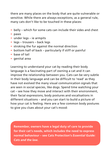there are many places on the body that are quite vulnerable or sensitive. While there are always exceptions, as a general rule, many cats don't like to be touched in these places:

- **•** belly which for some cats can include their sides and chest
- **•** paws
- **•** under legs ie armpits
- **•** legs trousers back legs
- **•** stroking the fur against the normal direction
- **•** bottom half of back particularly if stiff or painful
- **•** base of tail
- **•** genital area

Learning to understand your cat by reading their body language is a fascinating part of owning a cat and it can improve the relationship between you. Cats can be very subtle in their body language and can be difficult to 'read' as they have not evolved the many visual communication signals that are seen in social species, like dogs. Spend time watching your cat – see how they move and interact with their environment, their facial expressions, body postures and vocalisations in different situations – and you can start to build a picture of how your cat is feeling. Here are a few common body postures to give you clues about your cat's mood:

**Remember, owners have a legal duty of care to provide for their cat's needs, which includes the need to express normal behaviour – see Cats Protection's** *Essential Guide: Cats and the law***.**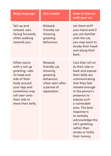| <b>Body language</b>                                                                                                                                                                       | Cat's mood                                                                                                      | <b>How to interact</b><br>with your cat                                                                                                                                                                                                                                                                                                    |
|--------------------------------------------------------------------------------------------------------------------------------------------------------------------------------------------|-----------------------------------------------------------------------------------------------------------------|--------------------------------------------------------------------------------------------------------------------------------------------------------------------------------------------------------------------------------------------------------------------------------------------------------------------------------------------|
| Tail up and<br>relaxed, ears<br>facing forwards,<br>often walking<br>towards you.                                                                                                          | Relaxed,<br>friendly cat<br>showing<br>greeting<br>behaviour.                                                   | Let them sniff<br>your hand and if<br>you are familiar<br>with the cat.<br>you may want to<br>stroke their head<br>and along their<br>back.                                                                                                                                                                                                |
| Often starts<br>with a tail up<br>greeting, rubs<br>its head and<br>side of their<br>body around<br>your legs and<br>sometimes may<br>roll over onto<br>their side to<br>show their belly. | Relaxed,<br>friendly cat<br>showing<br>greeting<br>behaviour.<br>often seen after<br>a period of<br>separation. | Cats that roll on<br>to their side or<br>back and expose<br>their belly are<br>communicating<br>that they feel<br>relaxed enough<br>in the person's<br>presence to<br>expose such<br>a vulnerable<br>area. The best<br>response is<br>to verbally<br>acknowledge the<br>cat's greeting,<br>rather than<br>stroke or tickle<br>their tummy. |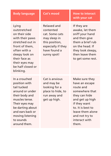Lying outstretched on their side with their paws stretched out in front of them, often with a sleepy look on their face as their eyes may be half closed or blinking.

Relaxed and contented cat. Some cats may sleep in this position, especially if they have found a sunny spot!

#### **Body language Cat's mood How to interact with your cat**

If they are awake, let them sniff your hand and then give them a brief rub on the head. If they look sleepy, then leave them to get some rest.

In a crouched position with tail tucked around or under their body and muscles tense. Their eyes may be darting about and ears back or moving listening to sounds around them.

Cat is anxious and may be looking for a place to hide, to run away and get up high.

Make sure they have an escape route and somewhere that they can hide and get up high if they want to. It is best to leave them alone and not try to interact with them.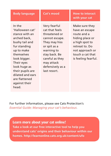In the 'Halloween cat' stance with an arched back, bushy tail and fur standing up to make themselves look bigger. Their eyes look huge as their pupils are dilated and ears are flattened against their head.

Very fearful cat that feels threatened or cannot escape. They may hiss or spit as a warning to stay back. Be careful as they may attack defensively as a last resort.

**Body language Cat's mood How to interact with your cat**

> Make sure they have an escape route and a hiding place or a high spot to retreat to. Do not approach or touch a cat that is feeling fearful.

For further information, please see Cats Protection's *Essential Guide: Managing your cat's behaviour*.

#### **Learn more about your cat online!**

**Take a look at our free interactive tool to help you understand cats' origins and their behaviour within our homes. http://learnonline.cats.org.uk/content/ufo**